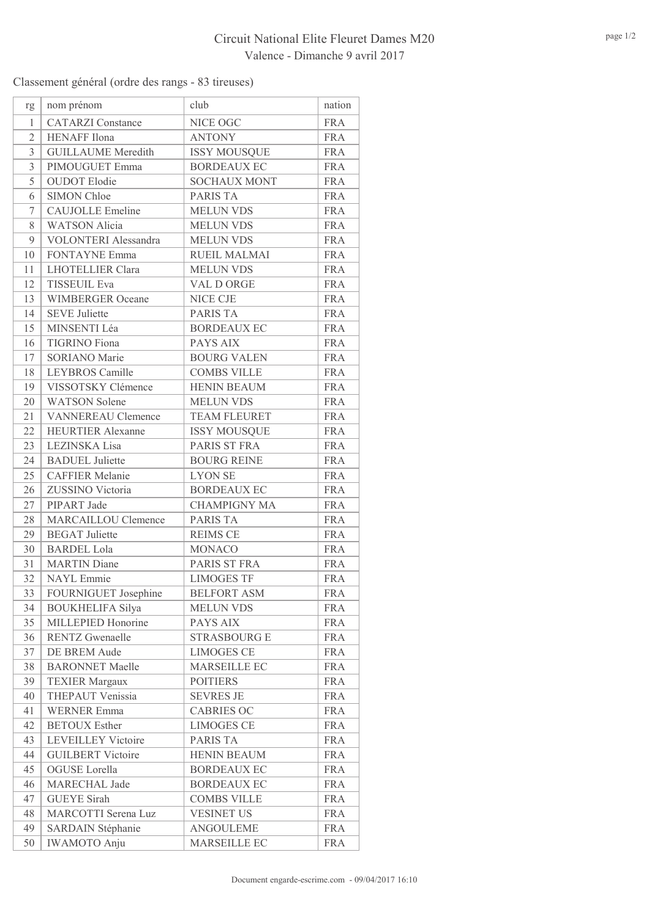## Circuit National Elite Fleuret Dames M20 Valence - Dimanche 9 avril 2017

Classement général (ordre des rangs - 83 tireuses)

| rg             | nom prénom                  | club                | nation     |
|----------------|-----------------------------|---------------------|------------|
| 1              | <b>CATARZI</b> Constance    | NICE OGC            | <b>FRA</b> |
| $\mathfrak{2}$ | <b>HENAFF</b> Ilona         | <b>ANTONY</b>       | <b>FRA</b> |
| 3              | <b>GUILLAUME</b> Meredith   | <b>ISSY MOUSQUE</b> | <b>FRA</b> |
| 3              | PIMOUGUET Emma              | <b>BORDEAUX EC</b>  | <b>FRA</b> |
| 5              | <b>OUDOT</b> Elodie         | <b>SOCHAUX MONT</b> | <b>FRA</b> |
| 6              | SIMON Chloe                 | <b>PARIS TA</b>     | <b>FRA</b> |
| 7              | <b>CAUJOLLE</b> Emeline     | <b>MELUN VDS</b>    | <b>FRA</b> |
| 8              | <b>WATSON Alicia</b>        | <b>MELUN VDS</b>    | <b>FRA</b> |
| 9              | <b>VOLONTERI</b> Alessandra | <b>MELUN VDS</b>    | <b>FRA</b> |
| 10             | <b>FONTAYNE Emma</b>        | RUEIL MALMAI        | <b>FRA</b> |
| 11             | <b>LHOTELLIER Clara</b>     | <b>MELUN VDS</b>    | <b>FRA</b> |
| 12             | <b>TISSEUIL Eva</b>         | VAL D ORGE          | <b>FRA</b> |
| 13             | <b>WIMBERGER Oceane</b>     | <b>NICE CJE</b>     | <b>FRA</b> |
| 14             | <b>SEVE Juliette</b>        | <b>PARIS TA</b>     | <b>FRA</b> |
| 15             | MINSENTI Léa                | <b>BORDEAUX EC</b>  | <b>FRA</b> |
| 16             | <b>TIGRINO</b> Fiona        | PAYS AIX            | <b>FRA</b> |
| 17             | <b>SORIANO</b> Marie        | <b>BOURG VALEN</b>  | <b>FRA</b> |
| 18             | LEYBROS Camille             | <b>COMBS VILLE</b>  | <b>FRA</b> |
| 19             | VISSOTSKY Clémence          | <b>HENIN BEAUM</b>  | <b>FRA</b> |
| 20             | <b>WATSON</b> Solene        | <b>MELUN VDS</b>    | <b>FRA</b> |
| 21             | <b>VANNEREAU Clemence</b>   | <b>TEAM FLEURET</b> | <b>FRA</b> |
| 22             | <b>HEURTIER Alexanne</b>    | <b>ISSY MOUSQUE</b> | <b>FRA</b> |
| 23             | LEZINSKA Lisa               | PARIS ST FRA        | <b>FRA</b> |
| 24             | <b>BADUEL</b> Juliette      | <b>BOURG REINE</b>  | <b>FRA</b> |
| 25             | <b>CAFFIER Melanie</b>      | <b>LYON SE</b>      | <b>FRA</b> |
| 26             | ZUSSINO Victoria            | <b>BORDEAUX EC</b>  | <b>FRA</b> |
| 27             | PIPART Jade                 | <b>CHAMPIGNY MA</b> | <b>FRA</b> |
| 28             | <b>MARCAILLOU Clemence</b>  | <b>PARIS TA</b>     | <b>FRA</b> |
| 29             | <b>BEGAT</b> Juliette       | <b>REIMS CE</b>     | <b>FRA</b> |
| 30             | <b>BARDEL Lola</b>          | <b>MONACO</b>       | <b>FRA</b> |
| 31             | <b>MARTIN</b> Diane         | PARIS ST FRA        | <b>FRA</b> |
| 32             | <b>NAYL</b> Emmie           | <b>LIMOGES TF</b>   | <b>FRA</b> |
| 33             | FOURNIGUET Josephine        | <b>BELFORT ASM</b>  | <b>FRA</b> |
| 34             | <b>BOUKHELIFA Silya</b>     | <b>MELUN VDS</b>    | <b>FRA</b> |
| 35             | MILLEPIED Honorine          | PAYS AIX            | <b>FRA</b> |
| 36             | <b>RENTZ</b> Gwenaelle      | <b>STRASBOURG E</b> | <b>FRA</b> |
| 37             | DE BREM Aude                | <b>LIMOGES CE</b>   | <b>FRA</b> |
| 38             | <b>BARONNET Maelle</b>      | MARSEILLE EC        | <b>FRA</b> |
| 39             | <b>TEXIER Margaux</b>       | <b>POITIERS</b>     | <b>FRA</b> |
| 40             | THEPAUT Venissia            | <b>SEVRES JE</b>    | <b>FRA</b> |
| 41             | <b>WERNER Emma</b>          | <b>CABRIES OC</b>   | <b>FRA</b> |
| 42             | <b>BETOUX</b> Esther        | <b>LIMOGES CE</b>   | <b>FRA</b> |
| 43             | <b>LEVEILLEY Victoire</b>   | PARIS TA            | <b>FRA</b> |
| 44             | <b>GUILBERT</b> Victoire    | <b>HENIN BEAUM</b>  | <b>FRA</b> |
| 45             | OGUSE Lorella               | <b>BORDEAUX EC</b>  | <b>FRA</b> |
| 46             | MARECHAL Jade               | <b>BORDEAUX EC</b>  | <b>FRA</b> |
| 47             | <b>GUEYE</b> Sirah          | <b>COMBS VILLE</b>  | <b>FRA</b> |
| 48             | <b>MARCOTTI</b> Serena Luz  | <b>VESINET US</b>   | <b>FRA</b> |
| 49             | SARDAIN Stéphanie           | <b>ANGOULEME</b>    | <b>FRA</b> |
| 50             | <b>IWAMOTO</b> Anju         | MARSEILLE EC        | <b>FRA</b> |